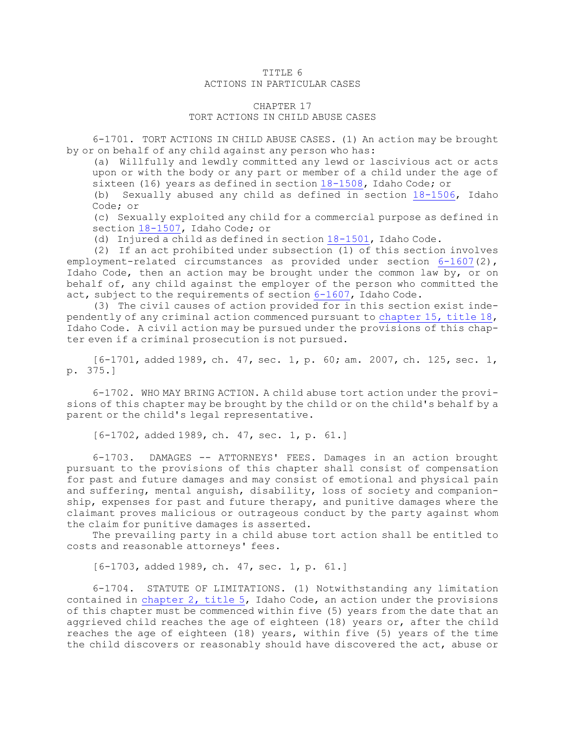## TITLE 6 ACTIONS IN PARTICULAR CASES

## CHAPTER 17

TORT ACTIONS IN CHILD ABUSE CASES

6-1701. TORT ACTIONS IN CHILD ABUSE CASES. (1) An action may be brought by or on behalf of any child against any person who has:

(a) Willfully and lewdly committed any lewd or lascivious act or acts upon or with the body or any part or member of <sup>a</sup> child under the age of sixteen (16) years as defined in section [18-1508](https://legislature.idaho.gov/statutesrules/idstat/Title18/T18CH15/SECT18-1508), Idaho Code; or

(b) Sexually abused any child as defined in section [18-1506](https://legislature.idaho.gov/statutesrules/idstat/Title18/T18CH15/SECT18-1506), Idaho Code; or

(c) Sexually exploited any child for <sup>a</sup> commercial purpose as defined in section [18-1507](https://legislature.idaho.gov/statutesrules/idstat/Title18/T18CH15/SECT18-1507), Idaho Code; or

(d) Injured <sup>a</sup> child as defined in section [18-1501](https://legislature.idaho.gov/statutesrules/idstat/Title18/T18CH15/SECT18-1501), Idaho Code.

(2) If an act prohibited under subsection (1) of this section involves employment-related circumstances as provided under section [6-1607](https://legislature.idaho.gov/statutesrules/idstat/Title6/T6CH16/SECT6-1607)(2), Idaho Code, then an action may be brought under the common law by, or on behalf of, any child against the employer of the person who committed the act, subject to the requirements of section [6-1607](https://legislature.idaho.gov/statutesrules/idstat/Title6/T6CH16/SECT6-1607), Idaho Code.

(3) The civil causes of action provided for in this section exist independently of any criminal action commenced pursuant to [chapter](https://legislature.idaho.gov/statutesrules/idstat/Title18/T18CH15) 15, title 18, Idaho Code. <sup>A</sup> civil action may be pursued under the provisions of this chapter even if <sup>a</sup> criminal prosecution is not pursued.

[6-1701, added 1989, ch. 47, sec. 1, p. 60; am. 2007, ch. 125, sec. 1, p. 375.]

6-1702. WHO MAY BRING ACTION. <sup>A</sup> child abuse tort action under the provisions of this chapter may be brought by the child or on the child's behalf by <sup>a</sup> parent or the child's legal representative.

[6-1702, added 1989, ch. 47, sec. 1, p. 61.]

6-1703. DAMAGES -- ATTORNEYS' FEES. Damages in an action brought pursuant to the provisions of this chapter shall consist of compensation for past and future damages and may consist of emotional and physical pain and suffering, mental anguish, disability, loss of society and companionship, expenses for past and future therapy, and punitive damages where the claimant proves malicious or outrageous conduct by the party against whom the claim for punitive damages is asserted.

The prevailing party in <sup>a</sup> child abuse tort action shall be entitled to costs and reasonable attorneys' fees.

[6-1703, added 1989, ch. 47, sec. 1, p. 61.]

6-1704. STATUTE OF LIMITATIONS. (1) Notwithstanding any limitation contained in [chapter](https://legislature.idaho.gov/statutesrules/idstat/Title5/T5CH2) 2, title 5, Idaho Code, an action under the provisions of this chapter must be commenced within five (5) years from the date that an aggrieved child reaches the age of eighteen (18) years or, after the child reaches the age of eighteen (18) years, within five (5) years of the time the child discovers or reasonably should have discovered the act, abuse or